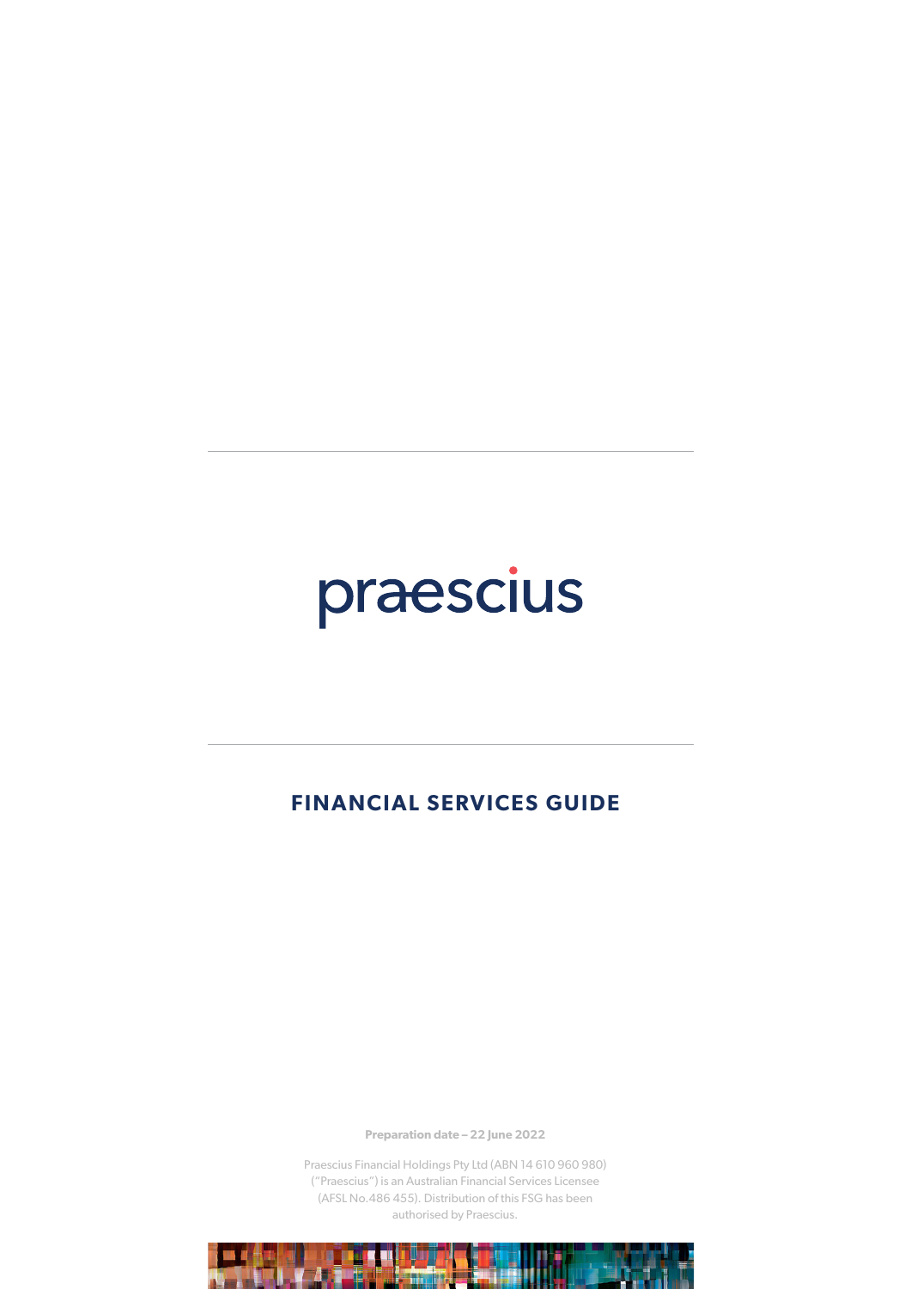# praescius

### **FINANCIAL SERVICES GUIDE**

**Preparation date – 22 June 2022**

Praescius Financial Holdings Pty Ltd (ABN 14 610 960 980) ("Praescius") is an Australian Financial Services Licensee (AFSL No.486 455). Distribution of this FSG has been authorised by Praescius.

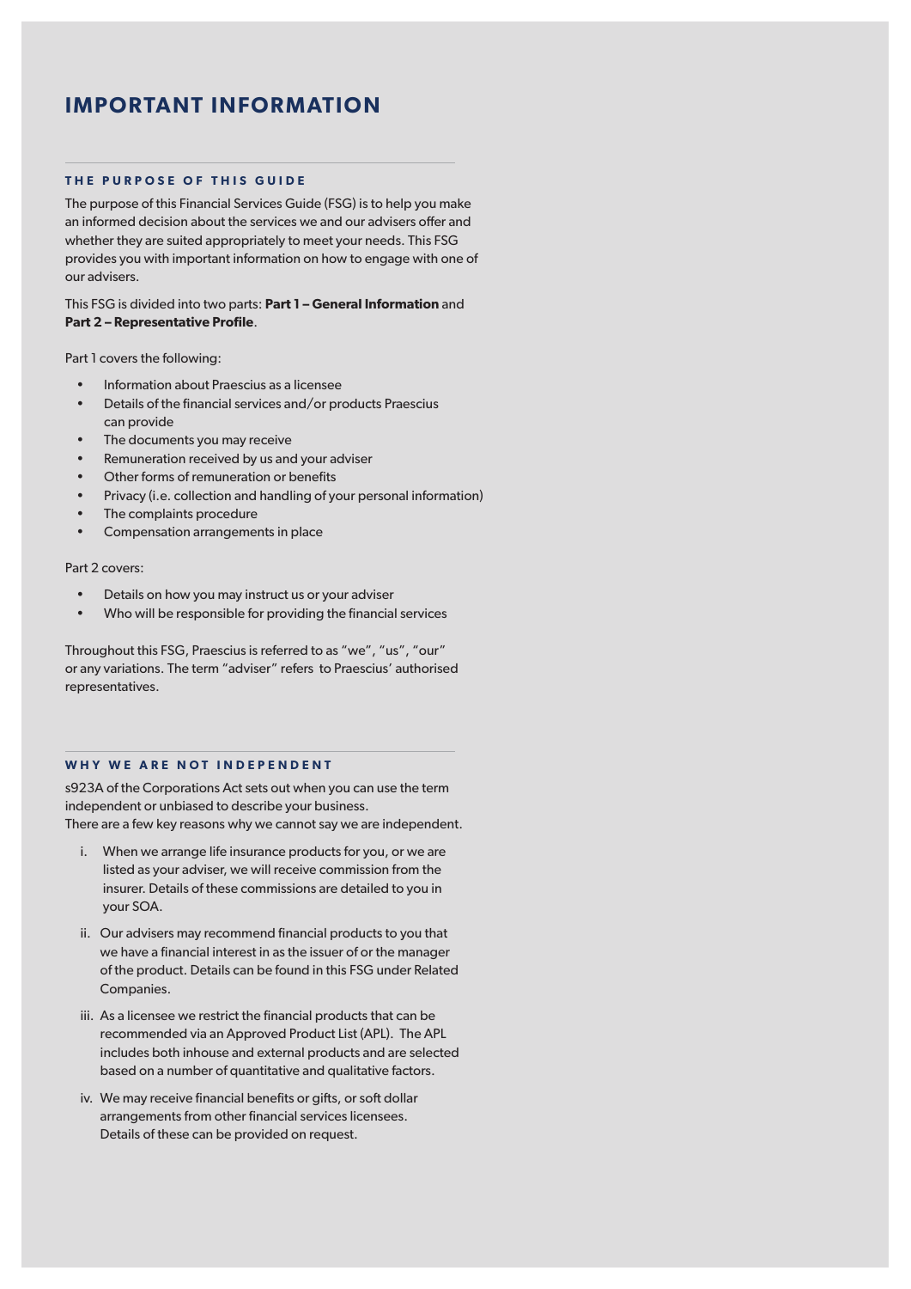### **IMPORTANT INFORMATION**

#### **THE PURPOSE OF THIS GUIDE**

The purpose of this Financial Services Guide (FSG) is to help you make an informed decision about the services we and our advisers offer and whether they are suited appropriately to meet your needs. This FSG provides you with important information on how to engage with one of our advisers.

#### This FSG is divided into two parts: **Part 1 – General Information** and **Part 2 – Representative Profile**.

Part 1 covers the following:

- Information about Praescius as a licensee
- Details of the financial services and/or products Praescius can provide
- The documents you may receive
- Remuneration received by us and your adviser
- Other forms of remuneration or benefits
- Privacy (i.e. collection and handling of your personal information)
- The complaints procedure
- Compensation arrangements in place

Part 2 covers:

- Details on how you may instruct us or your adviser
- Who will be responsible for providing the financial services

Throughout this FSG, Praescius is referred to as "we", "us", "our" or any variations. The term "adviser" refers to Praescius' authorised representatives.

#### **WHY WE ARE NOT INDEPENDENT**

s923A of the Corporations Act sets out when you can use the term independent or unbiased to describe your business. There are a few key reasons why we cannot say we are independent.

- i. When we arrange life insurance products for you, or we are listed as your adviser, we will receive commission from the insurer. Details of these commissions are detailed to you in your SOA.
- ii. Our advisers may recommend financial products to you that we have a financial interest in as the issuer of or the manager of the product. Details can be found in this FSG under Related Companies.
- iii. As a licensee we restrict the financial products that can be recommended via an Approved Product List (APL). The APL includes both inhouse and external products and are selected based on a number of quantitative and qualitative factors.
- iv. We may receive financial benefits or gifts, or soft dollar arrangements from other financial services licensees. Details of these can be provided on request.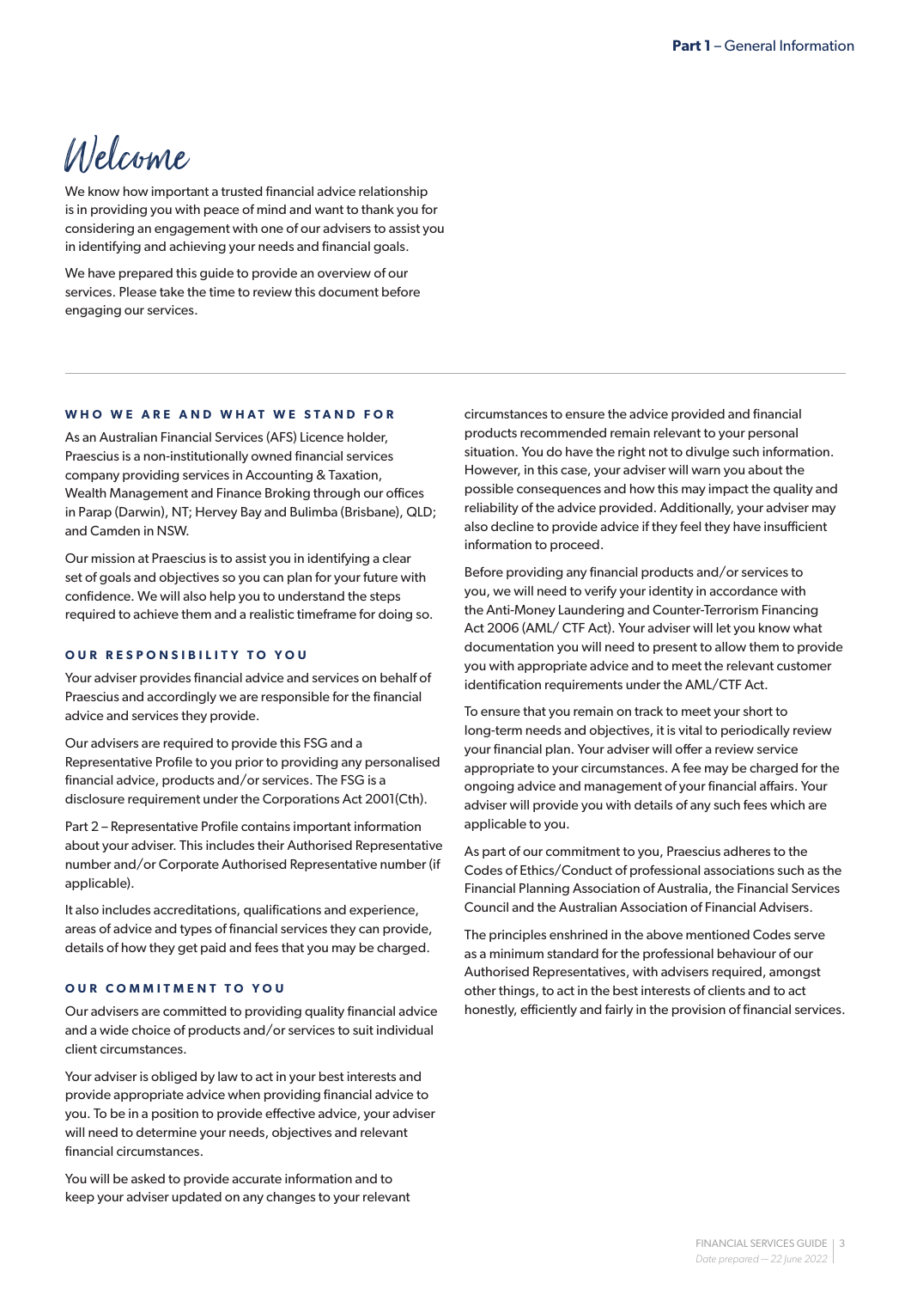## Welcome

We know how important a trusted financial advice relationship is in providing you with peace of mind and want to thank you for considering an engagement with one of our advisers to assist you in identifying and achieving your needs and financial goals.

We have prepared this guide to provide an overview of our services. Please take the time to review this document before engaging our services.

#### **WHO WE ARE AND WHAT WE STAND FOR**

As an Australian Financial Services (AFS) Licence holder, Praescius is a non-institutionally owned financial services company providing services in Accounting & Taxation, Wealth Management and Finance Broking through our offices in Parap (Darwin), NT; Hervey Bay and Bulimba (Brisbane), QLD; and Camden in NSW.

Our mission at Praescius is to assist you in identifying a clear set of goals and objectives so you can plan for your future with confidence. We will also help you to understand the steps required to achieve them and a realistic timeframe for doing so.

#### **OUR RESPONSIBILITY TO YOU**

Your adviser provides financial advice and services on behalf of Praescius and accordingly we are responsible for the financial advice and services they provide.

Our advisers are required to provide this FSG and a Representative Profile to you prior to providing any personalised financial advice, products and/or services. The FSG is a disclosure requirement under the Corporations Act 2001(Cth).

Part 2 – Representative Profile contains important information about your adviser. This includes their Authorised Representative number and/or Corporate Authorised Representative number (if applicable).

It also includes accreditations, qualifications and experience, areas of advice and types of financial services they can provide, details of how they get paid and fees that you may be charged.

#### **OUR COMMITMENT TO YOU**

Our advisers are committed to providing quality financial advice and a wide choice of products and/or services to suit individual client circumstances.

Your adviser is obliged by law to act in your best interests and provide appropriate advice when providing financial advice to you. To be in a position to provide effective advice, your adviser will need to determine your needs, objectives and relevant financial circumstances.

You will be asked to provide accurate information and to keep your adviser updated on any changes to your relevant circumstances to ensure the advice provided and financial products recommended remain relevant to your personal situation. You do have the right not to divulge such information. However, in this case, your adviser will warn you about the possible consequences and how this may impact the quality and reliability of the advice provided. Additionally, your adviser may also decline to provide advice if they feel they have insufficient information to proceed.

Before providing any financial products and/or services to you, we will need to verify your identity in accordance with the Anti-Money Laundering and Counter-Terrorism Financing Act 2006 (AML/ CTF Act). Your adviser will let you know what documentation you will need to present to allow them to provide you with appropriate advice and to meet the relevant customer identification requirements under the AML/CTF Act.

To ensure that you remain on track to meet your short to long-term needs and objectives, it is vital to periodically review your financial plan. Your adviser will offer a review service appropriate to your circumstances. A fee may be charged for the ongoing advice and management of your financial affairs. Your adviser will provide you with details of any such fees which are applicable to you.

As part of our commitment to you, Praescius adheres to the Codes of Ethics/Conduct of professional associations such as the Financial Planning Association of Australia, the Financial Services Council and the Australian Association of Financial Advisers.

The principles enshrined in the above mentioned Codes serve as a minimum standard for the professional behaviour of our Authorised Representatives, with advisers required, amongst other things, to act in the best interests of clients and to act honestly, efficiently and fairly in the provision of financial services.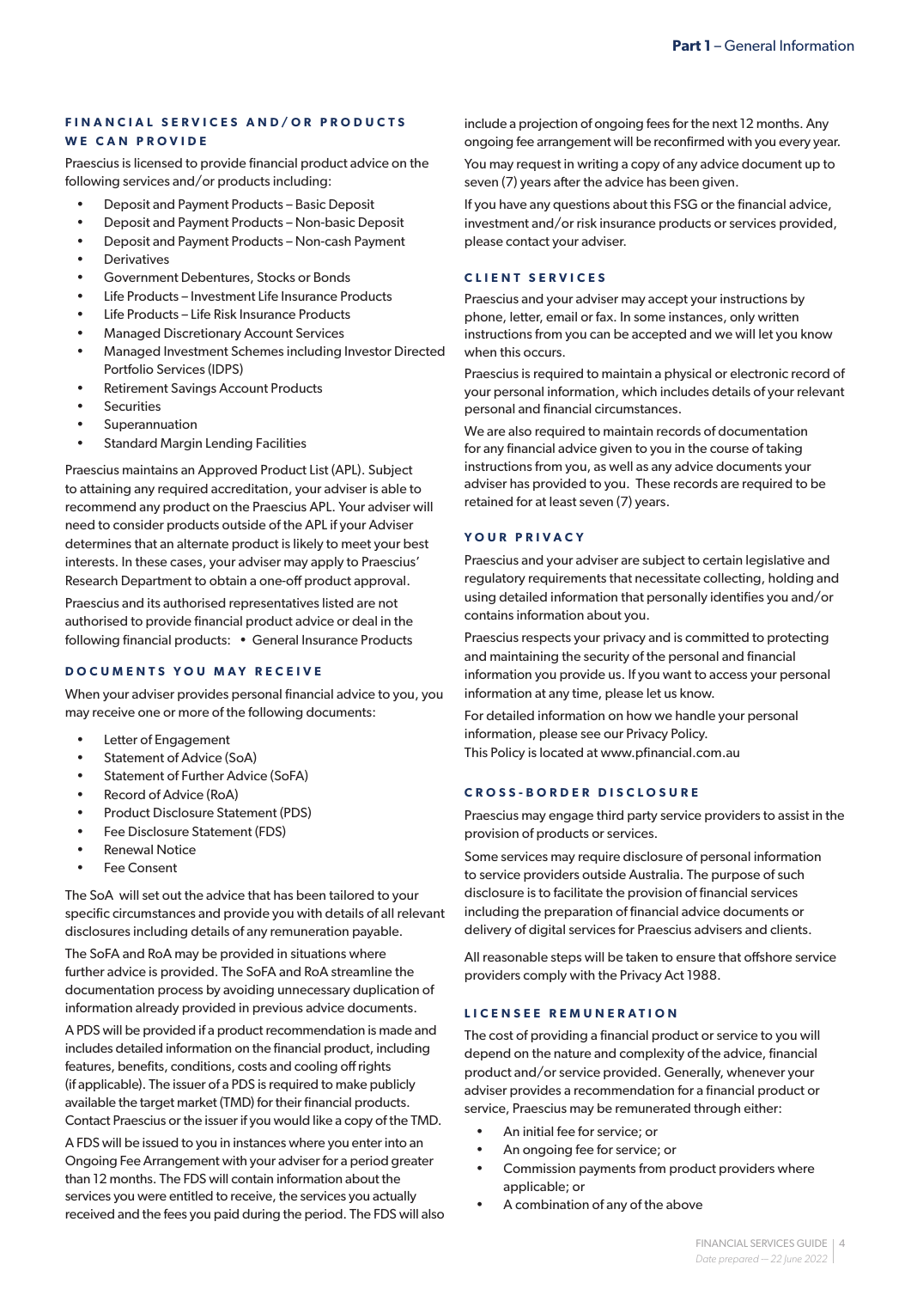#### **FINANCIAL SERVICES AND/OR PRODUCTS WE CAN PROVIDE**

Praescius is licensed to provide financial product advice on the following services and/or products including:

- Deposit and Payment Products Basic Deposit
- Deposit and Payment Products Non-basic Deposit
- Deposit and Payment Products Non-cash Payment
- **Derivatives**
- Government Debentures, Stocks or Bonds
- Life Products Investment Life Insurance Products
- Life Products Life Risk Insurance Products
- Managed Discretionary Account Services
- Managed Investment Schemes including Investor Directed Portfolio Services (IDPS)
- Retirement Savings Account Products
- **Securities**
- **Superannuation**
- **Standard Margin Lending Facilities**

Praescius maintains an Approved Product List (APL). Subject to attaining any required accreditation, your adviser is able to recommend any product on the Praescius APL. Your adviser will need to consider products outside of the APL if your Adviser determines that an alternate product is likely to meet your best interests. In these cases, your adviser may apply to Praescius' Research Department to obtain a one-off product approval.

Praescius and its authorised representatives listed are not authorised to provide financial product advice or deal in the following financial products: • General Insurance Products

#### **DOCUMENTS YOU MAY RECEIVE**

When your adviser provides personal financial advice to you, you may receive one or more of the following documents:

- Letter of Engagement
- Statement of Advice (SoA)
- Statement of Further Advice (SoFA)
- Record of Advice (RoA)
- Product Disclosure Statement (PDS)
- Fee Disclosure Statement (FDS)
- Renewal Notice
- Fee Consent

The SoA will set out the advice that has been tailored to your specific circumstances and provide you with details of all relevant disclosures including details of any remuneration payable.

The SoFA and RoA may be provided in situations where further advice is provided. The SoFA and RoA streamline the documentation process by avoiding unnecessary duplication of information already provided in previous advice documents.

A PDS will be provided if a product recommendation is made and includes detailed information on the financial product, including features, benefits, conditions, costs and cooling off rights (if applicable). The issuer of a PDS is required to make publicly available the target market (TMD) for their financial products. Contact Praescius or the issuer if you would like a copy of the TMD.

A FDS will be issued to you in instances where you enter into an Ongoing Fee Arrangement with your adviser for a period greater than 12 months. The FDS will contain information about the services you were entitled to receive, the services you actually received and the fees you paid during the period. The FDS will also include a projection of ongoing fees for the next 12 months. Any ongoing fee arrangement will be reconfirmed with you every year.

You may request in writing a copy of any advice document up to seven (7) years after the advice has been given.

If you have any questions about this FSG or the financial advice, investment and/or risk insurance products or services provided, please contact your adviser.

#### **CLIENT SERVICES**

Praescius and your adviser may accept your instructions by phone, letter, email or fax. In some instances, only written instructions from you can be accepted and we will let you know when this occurs.

Praescius is required to maintain a physical or electronic record of your personal information, which includes details of your relevant personal and financial circumstances.

We are also required to maintain records of documentation for any financial advice given to you in the course of taking instructions from you, as well as any advice documents your adviser has provided to you. These records are required to be retained for at least seven (7) years.

#### **YOUR PRIVACY**

Praescius and your adviser are subject to certain legislative and regulatory requirements that necessitate collecting, holding and using detailed information that personally identifies you and/or contains information about you.

Praescius respects your privacy and is committed to protecting and maintaining the security of the personal and financial information you provide us. If you want to access your personal information at any time, please let us know.

For detailed information on how we handle your personal information, please see our Privacy Policy. This Policy is located at www.pfinancial.com.au

#### **CROSS-BORDER DISCLOSURE**

Praescius may engage third party service providers to assist in the provision of products or services.

Some services may require disclosure of personal information to service providers outside Australia. The purpose of such disclosure is to facilitate the provision of financial services including the preparation of financial advice documents or delivery of digital services for Praescius advisers and clients.

All reasonable steps will be taken to ensure that offshore service providers comply with the Privacy Act 1988.

#### **LICENSEE REMUNERATION**

The cost of providing a financial product or service to you will depend on the nature and complexity of the advice, financial product and/or service provided. Generally, whenever your adviser provides a recommendation for a financial product or service, Praescius may be remunerated through either:

- An initial fee for service; or
- An ongoing fee for service; or
- Commission payments from product providers where applicable; or
- A combination of any of the above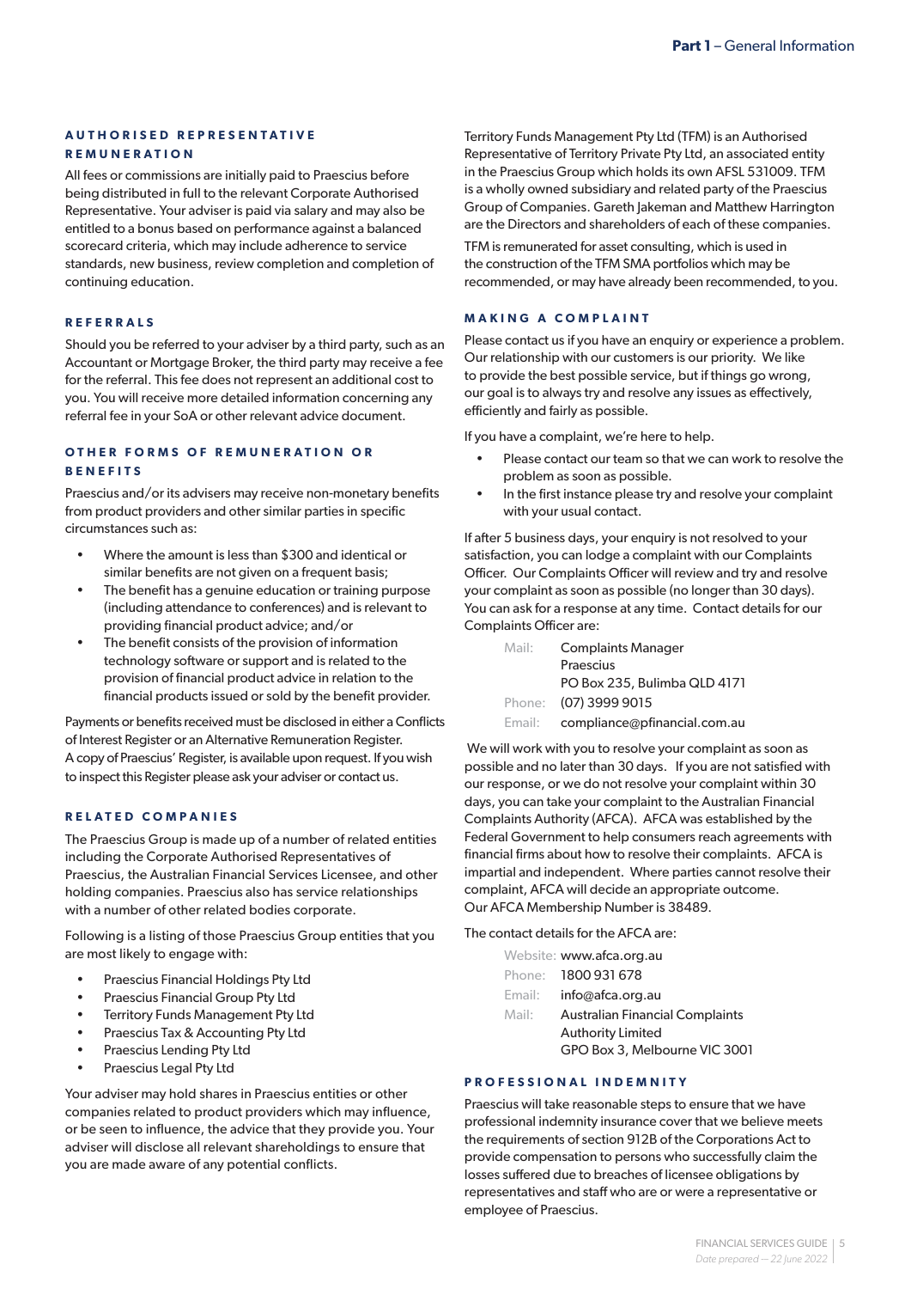#### **A U T H O R I S E D R E P R E S E N T A T I V E REMUNERATION**

All fees or commissions are initially paid to Praescius before being distributed in full to the relevant Corporate Authorised Representative. Your adviser is paid via salary and may also be entitled to a bonus based on performance against a balanced scorecard criteria, which may include adherence to service standards, new business, review completion and completion of continuing education.

#### **REFERRALS**

Should you be referred to your adviser by a third party, such as an Accountant or Mortgage Broker, the third party may receive a fee for the referral. This fee does not represent an additional cost to you. You will receive more detailed information concerning any referral fee in your SoA or other relevant advice document.

#### **OTHER FORMS OF REMUNERATION OR BENEFITS**

Praescius and/or its advisers may receive non-monetary benefits from product providers and other similar parties in specific circumstances such as:

- Where the amount is less than \$300 and identical or similar benefits are not given on a frequent basis;
- The benefit has a genuine education or training purpose (including attendance to conferences) and is relevant to providing financial product advice; and/or
- The benefit consists of the provision of information technology software or support and is related to the provision of financial product advice in relation to the financial products issued or sold by the benefit provider.

Payments or benefits received must be disclosed in either a Conflicts of Interest Register or an Alternative Remuneration Register. A copy of Praescius' Register, is available upon request. If you wish to inspect this Register please ask your adviser or contact us.

#### **RELATED COMPANIES**

The Praescius Group is made up of a number of related entities including the Corporate Authorised Representatives of Praescius, the Australian Financial Services Licensee, and other holding companies. Praescius also has service relationships with a number of other related bodies corporate.

Following is a listing of those Praescius Group entities that you are most likely to engage with:

- Praescius Financial Holdings Pty Ltd
- Praescius Financial Group Pty Ltd
- Territory Funds Management Pty Ltd
- Praescius Tax & Accounting Pty Ltd
- Praescius Lending Pty Ltd
- Praescius Legal Pty Ltd

Your adviser may hold shares in Praescius entities or other companies related to product providers which may influence, or be seen to influence, the advice that they provide you. Your adviser will disclose all relevant shareholdings to ensure that you are made aware of any potential conflicts.

Territory Funds Management Pty Ltd (TFM) is an Authorised Representative of Territory Private Pty Ltd, an associated entity in the Praescius Group which holds its own AFSL 531009. TFM is a wholly owned subsidiary and related party of the Praescius Group of Companies. Gareth Jakeman and Matthew Harrington are the Directors and shareholders of each of these companies.

TFM is remunerated for asset consulting, which is used in the construction of the TFM SMA portfolios which may be recommended, or may have already been recommended, to you.

#### **MAKING A COMPLAINT**

Please contact us if you have an enquiry or experience a problem. Our relationship with our customers is our priority. We like to provide the best possible service, but if things go wrong, our goal is to always try and resolve any issues as effectively, efficiently and fairly as possible.

If you have a complaint, we're here to help.

- Please contact our team so that we can work to resolve the problem as soon as possible.
- In the first instance please try and resolve your complaint with your usual contact.

If after 5 business days, your enquiry is not resolved to your satisfaction, you can lodge a complaint with our Complaints Officer. Our Complaints Officer will review and try and resolve your complaint as soon as possible (no longer than 30 days). You can ask for a response at any time. Contact details for our Complaints Officer are:

| Mail:  | <b>Complaints Manager</b>    |  |
|--------|------------------------------|--|
|        | Praescius                    |  |
|        | PO Box 235, Bulimba QLD 4171 |  |
| Phone: | (07) 3999 9015               |  |
| Email: | compliance@pfinancial.com.au |  |

 We will work with you to resolve your complaint as soon as possible and no later than 30 days. If you are not satisfied with our response, or we do not resolve your complaint within 30 days, you can take your complaint to the Australian Financial Complaints Authority (AFCA). AFCA was established by the Federal Government to help consumers reach agreements with financial firms about how to resolve their complaints. AFCA is impartial and independent. Where parties cannot resolve their complaint, AFCA will decide an appropriate outcome. Our AFCA Membership Number is 38489.

The contact details for the AFCA are:

|        | Website: www.afca.org.au               |
|--------|----------------------------------------|
|        | Phone: 1800 931 678                    |
| Email: | info@afca.org.au                       |
| Mail:  | <b>Australian Financial Complaints</b> |
|        | <b>Authority Limited</b>               |
|        | GPO Box 3, Melbourne VIC 3001          |

#### **PROFESSIONAL INDEMNITY**

Praescius will take reasonable steps to ensure that we have professional indemnity insurance cover that we believe meets the requirements of section 912B of the Corporations Act to provide compensation to persons who successfully claim the losses suffered due to breaches of licensee obligations by representatives and staff who are or were a representative or employee of Praescius.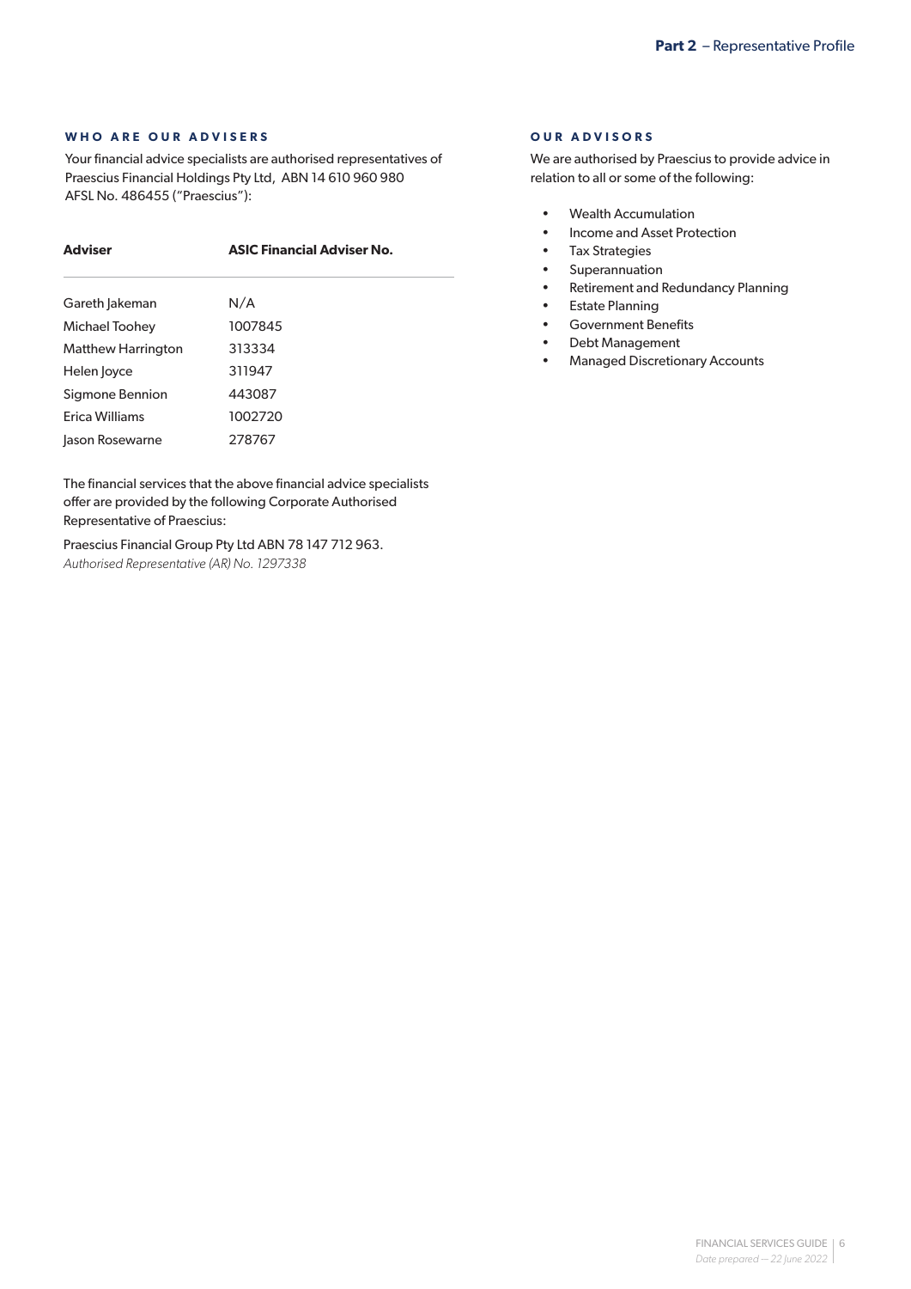#### **WHO ARE OUR ADVISERS**

Your financial advice specialists are authorised representatives of Praescius Financial Holdings Pty Ltd, ABN 14 610 960 980 AFSL No. 486455 ("Praescius"):

## **Adviser ASIC Financial Adviser No.** Gareth Jakeman N/A

| Gareth Jakeman            | N/A     |
|---------------------------|---------|
| Michael Toohey            | 1007845 |
| <b>Matthew Harrington</b> | 313334  |
| Helen loyce               | 311947  |
| Sigmone Bennion           | 443087  |
| Erica Williams            | 1002720 |
| Jason Rosewarne           | 278767  |

The financial services that the above financial advice specialists offer are provided by the following Corporate Authorised Representative of Praescius:

Praescius Financial Group Pty Ltd ABN 78 147 712 963. *Authorised Representative (AR) No. 1297338*

#### **OUR ADVISORS**

We are authorised by Praescius to provide advice in relation to all or some of the following:

- Wealth Accumulation
- Income and Asset Protection
- Tax Strategies
- Superannuation
- Retirement and Redundancy Planning
- **Estate Planning**
- Government Benefits
- Debt Management
- Managed Discretionary Accounts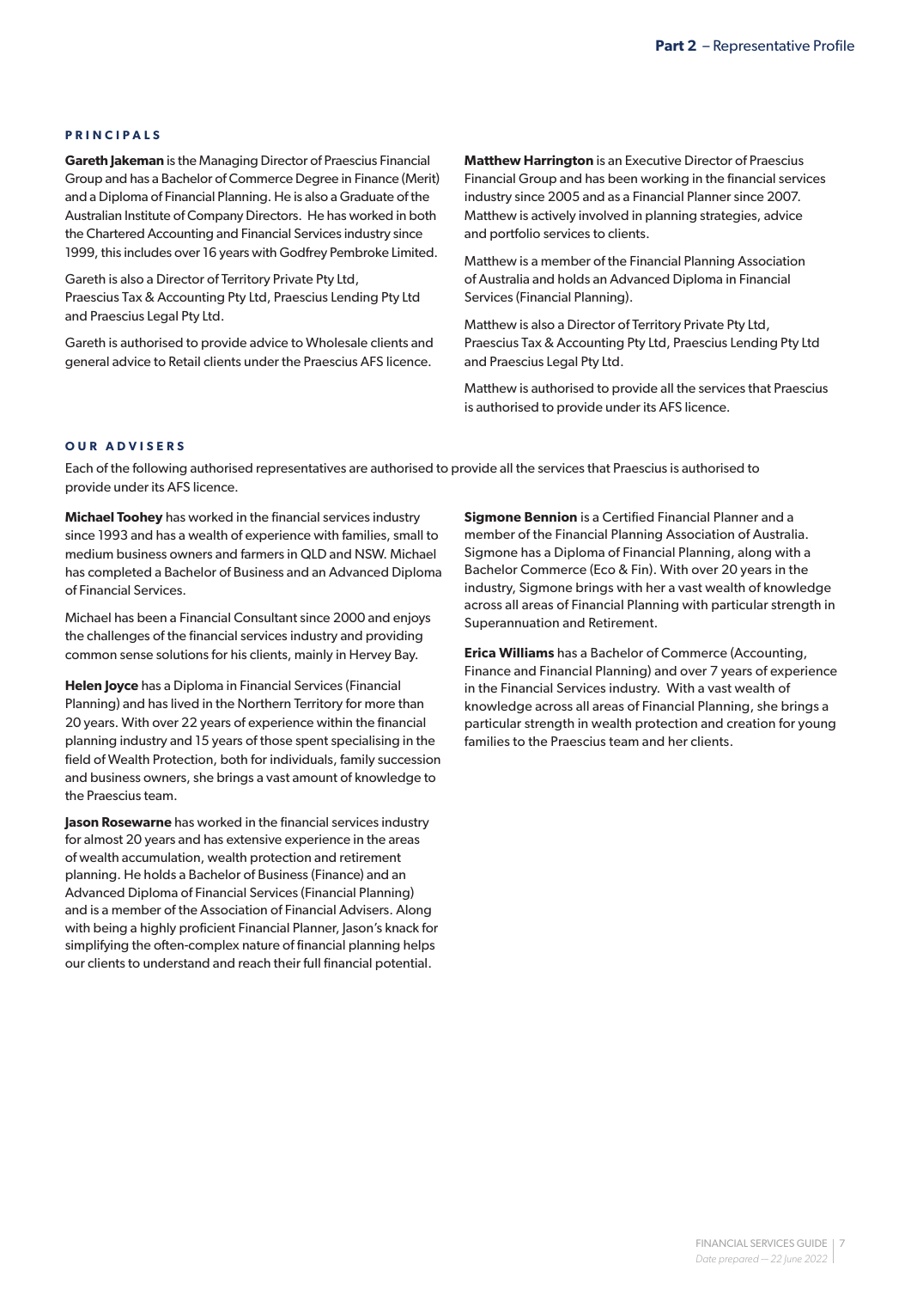#### **PRINCIPALS**

**Gareth Jakeman** is the Managing Director of Praescius Financial Group and has a Bachelor of Commerce Degree in Finance (Merit) and a Diploma of Financial Planning. He is also a Graduate of the Australian Institute of Company Directors. He has worked in both the Chartered Accounting and Financial Services industry since 1999, this includes over 16 years with Godfrey Pembroke Limited.

Gareth is also a Director of Territory Private Pty Ltd, Praescius Tax & Accounting Pty Ltd, Praescius Lending Pty Ltd and Praescius Legal Pty Ltd.

Gareth is authorised to provide advice to Wholesale clients and general advice to Retail clients under the Praescius AFS licence.

**Matthew Harrington** is an Executive Director of Praescius Financial Group and has been working in the financial services industry since 2005 and as a Financial Planner since 2007. Matthew is actively involved in planning strategies, advice and portfolio services to clients.

Matthew is a member of the Financial Planning Association of Australia and holds an Advanced Diploma in Financial Services (Financial Planning).

Matthew is also a Director of Territory Private Pty Ltd, Praescius Tax & Accounting Pty Ltd, Praescius Lending Pty Ltd and Praescius Legal Pty Ltd.

Matthew is authorised to provide all the services that Praescius is authorised to provide under its AFS licence.

#### **OUR ADVISERS**

Each of the following authorised representatives are authorised to provide all the services that Praescius is authorised to provide under its AFS licence.

**Michael Toohey** has worked in the financial services industry since 1993 and has a wealth of experience with families, small to medium business owners and farmers in QLD and NSW. Michael has completed a Bachelor of Business and an Advanced Diploma of Financial Services.

Michael has been a Financial Consultant since 2000 and enjoys the challenges of the financial services industry and providing common sense solutions for his clients, mainly in Hervey Bay.

**Helen Joyce** has a Diploma in Financial Services (Financial Planning) and has lived in the Northern Territory for more than 20 years. With over 22 years of experience within the financial planning industry and 15 years of those spent specialising in the field of Wealth Protection, both for individuals, family succession and business owners, she brings a vast amount of knowledge to the Praescius team.

**Jason Rosewarne** has worked in the financial services industry for almost 20 years and has extensive experience in the areas of wealth accumulation, wealth protection and retirement planning. He holds a Bachelor of Business (Finance) and an Advanced Diploma of Financial Services (Financial Planning) and is a member of the Association of Financial Advisers. Along with being a highly proficient Financial Planner, Jason's knack for simplifying the often-complex nature of financial planning helps our clients to understand and reach their full financial potential.

**Sigmone Bennion** is a Certified Financial Planner and a member of the Financial Planning Association of Australia. Sigmone has a Diploma of Financial Planning, along with a Bachelor Commerce (Eco & Fin). With over 20 years in the industry, Sigmone brings with her a vast wealth of knowledge across all areas of Financial Planning with particular strength in Superannuation and Retirement.

**Erica Williams** has a Bachelor of Commerce (Accounting, Finance and Financial Planning) and over 7 years of experience in the Financial Services industry. With a vast wealth of knowledge across all areas of Financial Planning, she brings a particular strength in wealth protection and creation for young families to the Praescius team and her clients.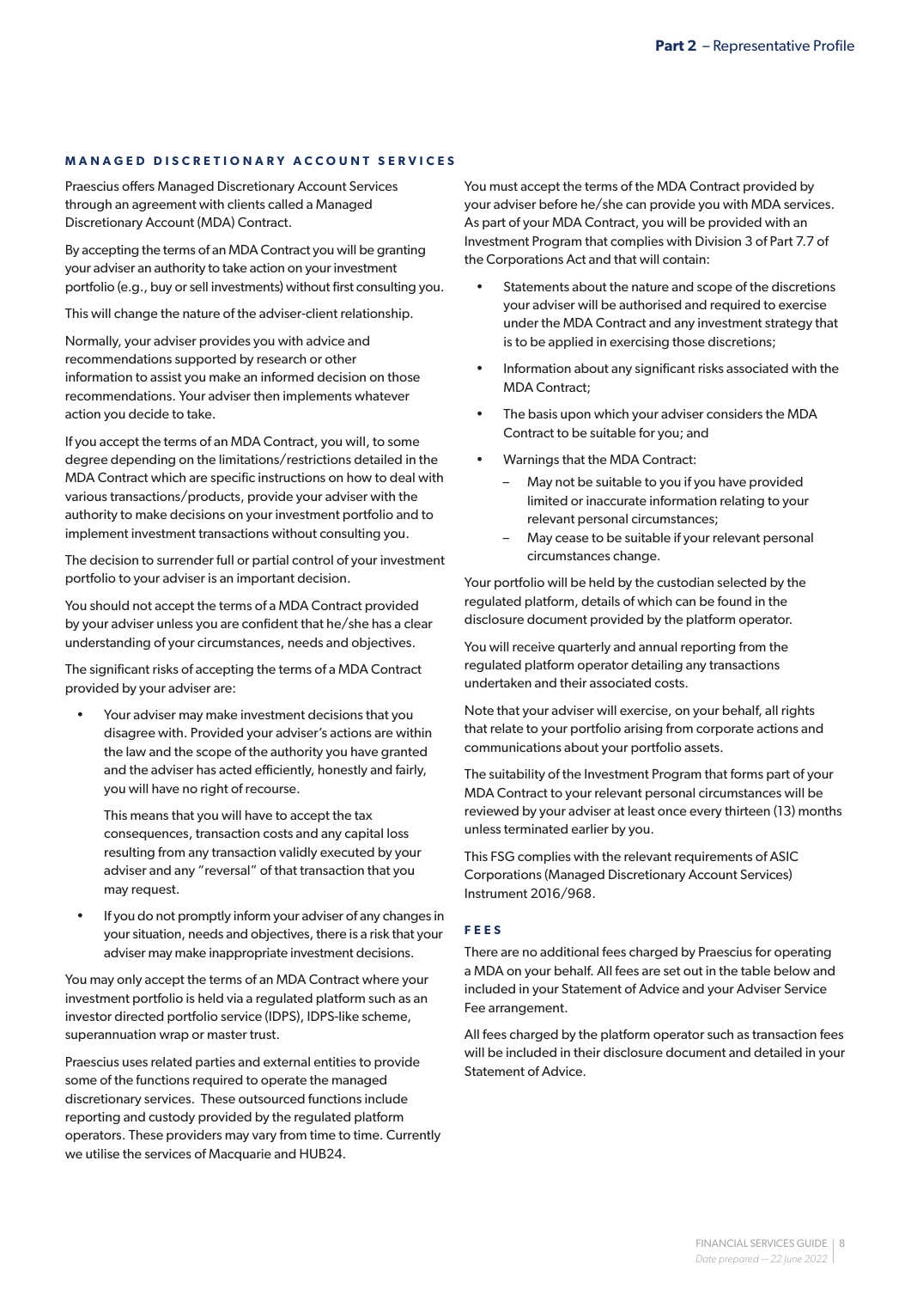#### **MANAGED DISCRETIONARY ACCOUNT SERVICES**

Praescius offers Managed Discretionary Account Services through an agreement with clients called a Managed Discretionary Account (MDA) Contract.

By accepting the terms of an MDA Contract you will be granting your adviser an authority to take action on your investment portfolio (e.g., buy or sell investments) without first consulting you.

This will change the nature of the adviser-client relationship.

Normally, your adviser provides you with advice and recommendations supported by research or other information to assist you make an informed decision on those recommendations. Your adviser then implements whatever action you decide to take.

If you accept the terms of an MDA Contract, you will, to some degree depending on the limitations/restrictions detailed in the MDA Contract which are specific instructions on how to deal with various transactions/products, provide your adviser with the authority to make decisions on your investment portfolio and to implement investment transactions without consulting you.

The decision to surrender full or partial control of your investment portfolio to your adviser is an important decision.

You should not accept the terms of a MDA Contract provided by your adviser unless you are confident that he/she has a clear understanding of your circumstances, needs and objectives.

The significant risks of accepting the terms of a MDA Contract provided by your adviser are:

Your adviser may make investment decisions that you disagree with. Provided your adviser's actions are within the law and the scope of the authority you have granted and the adviser has acted efficiently, honestly and fairly, you will have no right of recourse.

This means that you will have to accept the tax consequences, transaction costs and any capital loss resulting from any transaction validly executed by your adviser and any "reversal" of that transaction that you may request.

If you do not promptly inform your adviser of any changes in your situation, needs and objectives, there is a risk that your adviser may make inappropriate investment decisions.

You may only accept the terms of an MDA Contract where your investment portfolio is held via a regulated platform such as an investor directed portfolio service (IDPS), IDPS-like scheme, superannuation wrap or master trust.

Praescius uses related parties and external entities to provide some of the functions required to operate the managed discretionary services. These outsourced functions include reporting and custody provided by the regulated platform operators. These providers may vary from time to time. Currently we utilise the services of Macquarie and HUB24.

You must accept the terms of the MDA Contract provided by your adviser before he/she can provide you with MDA services. As part of your MDA Contract, you will be provided with an Investment Program that complies with Division 3 of Part 7.7 of the Corporations Act and that will contain:

- Statements about the nature and scope of the discretions your adviser will be authorised and required to exercise under the MDA Contract and any investment strategy that is to be applied in exercising those discretions;
- Information about any significant risks associated with the MDA Contract;
- The basis upon which your adviser considers the MDA Contract to be suitable for you; and
- Warnings that the MDA Contract:
	- May not be suitable to you if you have provided limited or inaccurate information relating to your relevant personal circumstances;
	- May cease to be suitable if your relevant personal circumstances change.

Your portfolio will be held by the custodian selected by the regulated platform, details of which can be found in the disclosure document provided by the platform operator.

You will receive quarterly and annual reporting from the regulated platform operator detailing any transactions undertaken and their associated costs.

Note that your adviser will exercise, on your behalf, all rights that relate to your portfolio arising from corporate actions and communications about your portfolio assets.

The suitability of the Investment Program that forms part of your MDA Contract to your relevant personal circumstances will be reviewed by your adviser at least once every thirteen (13) months unless terminated earlier by you.

This FSG complies with the relevant requirements of ASIC Corporations (Managed Discretionary Account Services) Instrument 2016/968.

#### **FEES**

There are no additional fees charged by Praescius for operating a MDA on your behalf. All fees are set out in the table below and included in your Statement of Advice and your Adviser Service Fee arrangement.

All fees charged by the platform operator such as transaction fees will be included in their disclosure document and detailed in your Statement of Advice.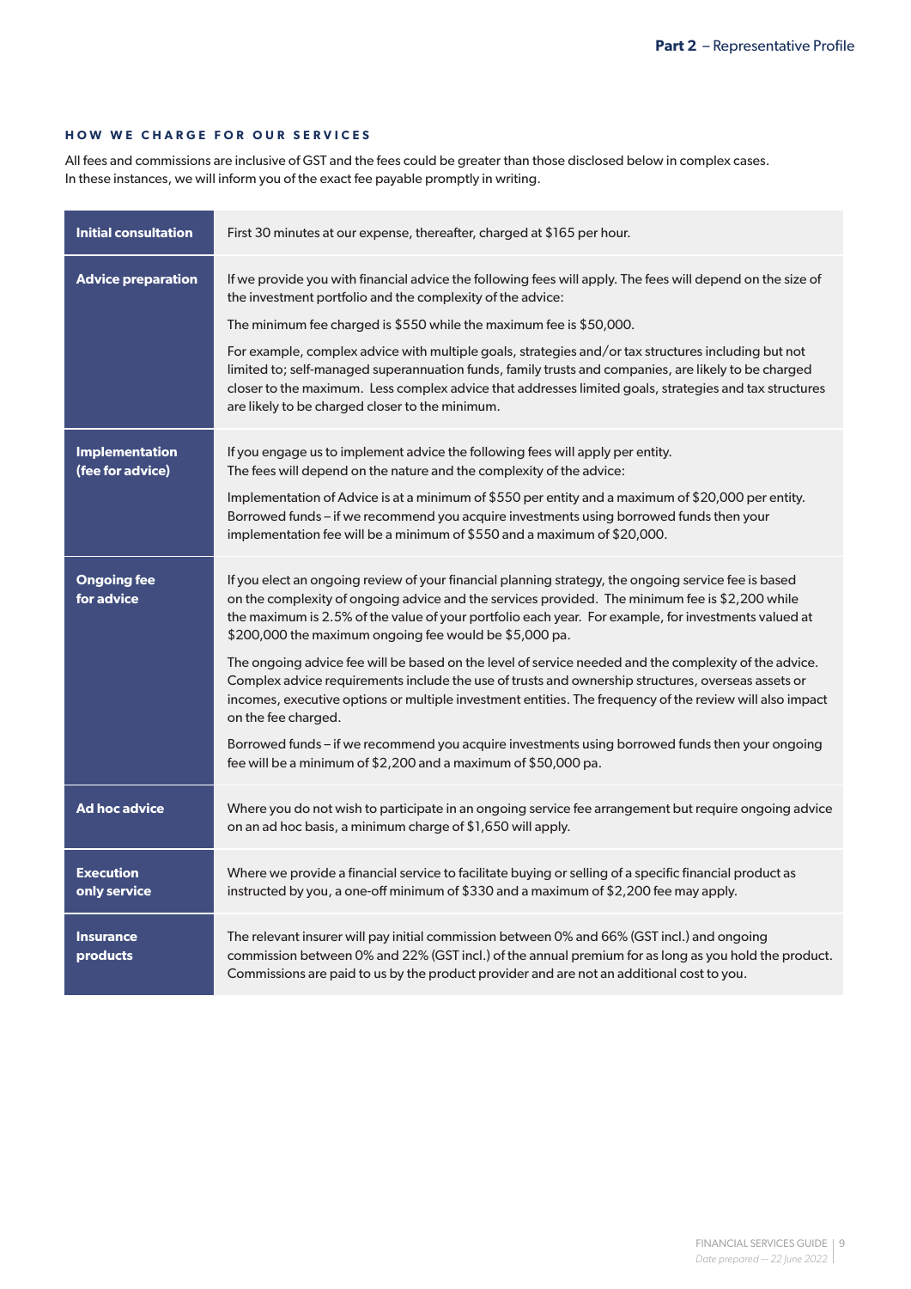#### **HOW WE CHARGE FOR OUR SERVICES**

All fees and commissions are inclusive of GST and the fees could be greater than those disclosed below in complex cases. In these instances, we will inform you of the exact fee payable promptly in writing.

| <b>Initial consultation</b>               | First 30 minutes at our expense, thereafter, charged at \$165 per hour.                                                                                                                                                                                                                                                                                                   |
|-------------------------------------------|---------------------------------------------------------------------------------------------------------------------------------------------------------------------------------------------------------------------------------------------------------------------------------------------------------------------------------------------------------------------------|
| <b>Advice preparation</b>                 | If we provide you with financial advice the following fees will apply. The fees will depend on the size of<br>the investment portfolio and the complexity of the advice:                                                                                                                                                                                                  |
|                                           | The minimum fee charged is \$550 while the maximum fee is \$50,000.                                                                                                                                                                                                                                                                                                       |
|                                           | For example, complex advice with multiple goals, strategies and/or tax structures including but not<br>limited to; self-managed superannuation funds, family trusts and companies, are likely to be charged<br>closer to the maximum. Less complex advice that addresses limited goals, strategies and tax structures<br>are likely to be charged closer to the minimum.  |
| <b>Implementation</b><br>(fee for advice) | If you engage us to implement advice the following fees will apply per entity.<br>The fees will depend on the nature and the complexity of the advice:                                                                                                                                                                                                                    |
|                                           | Implementation of Advice is at a minimum of \$550 per entity and a maximum of \$20,000 per entity.<br>Borrowed funds - if we recommend you acquire investments using borrowed funds then your<br>implementation fee will be a minimum of \$550 and a maximum of \$20,000.                                                                                                 |
| <b>Ongoing fee</b><br>for advice          | If you elect an ongoing review of your financial planning strategy, the ongoing service fee is based<br>on the complexity of ongoing advice and the services provided. The minimum fee is \$2,200 while<br>the maximum is 2.5% of the value of your portfolio each year. For example, for investments valued at<br>\$200,000 the maximum ongoing fee would be \$5,000 pa. |
|                                           | The ongoing advice fee will be based on the level of service needed and the complexity of the advice.<br>Complex advice requirements include the use of trusts and ownership structures, overseas assets or<br>incomes, executive options or multiple investment entities. The frequency of the review will also impact<br>on the fee charged.                            |
|                                           | Borrowed funds - if we recommend you acquire investments using borrowed funds then your ongoing<br>fee will be a minimum of \$2,200 and a maximum of \$50,000 pa.                                                                                                                                                                                                         |
| <b>Ad hoc advice</b>                      | Where you do not wish to participate in an ongoing service fee arrangement but require ongoing advice<br>on an ad hoc basis, a minimum charge of \$1,650 will apply.                                                                                                                                                                                                      |
| <b>Execution</b><br>only service          | Where we provide a financial service to facilitate buying or selling of a specific financial product as<br>instructed by you, a one-off minimum of \$330 and a maximum of \$2,200 fee may apply.                                                                                                                                                                          |
| <b>Insurance</b><br>products              | The relevant insurer will pay initial commission between 0% and 66% (GST incl.) and ongoing<br>commission between 0% and 22% (GST incl.) of the annual premium for as long as you hold the product.<br>Commissions are paid to us by the product provider and are not an additional cost to you.                                                                          |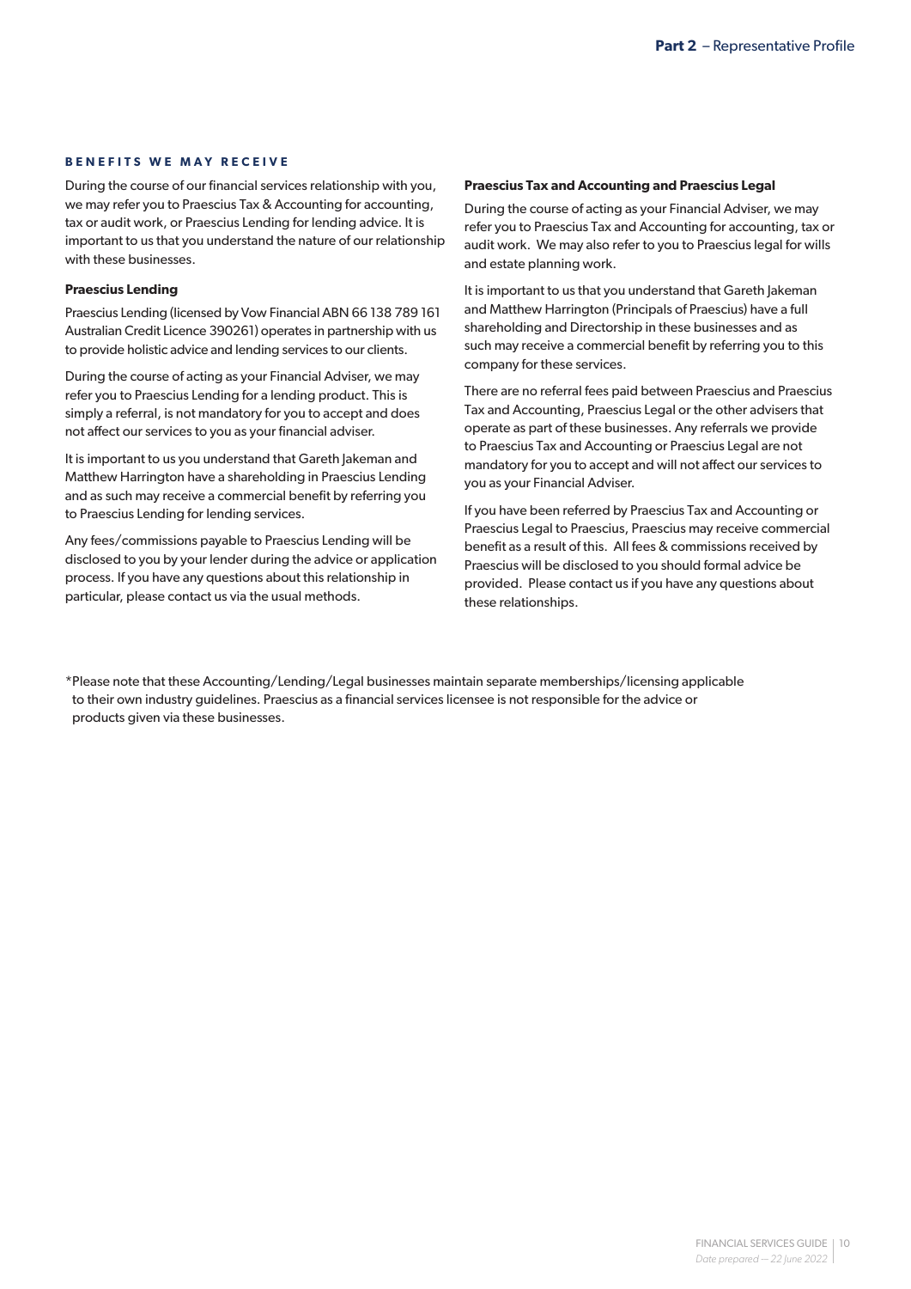#### **BENEFITS WE MAY RECEIVE**

During the course of our financial services relationship with you, we may refer you to Praescius Tax & Accounting for accounting, tax or audit work, or Praescius Lending for lending advice. It is important to us that you understand the nature of our relationship with these businesses.

#### **Praescius Lending**

Praescius Lending (licensed by Vow Financial ABN 66 138 789 161 Australian Credit Licence 390261) operates in partnership with us to provide holistic advice and lending services to our clients.

During the course of acting as your Financial Adviser, we may refer you to Praescius Lending for a lending product. This is simply a referral, is not mandatory for you to accept and does not affect our services to you as your financial adviser.

It is important to us you understand that Gareth Jakeman and Matthew Harrington have a shareholding in Praescius Lending and as such may receive a commercial benefit by referring you to Praescius Lending for lending services.

Any fees/commissions payable to Praescius Lending will be disclosed to you by your lender during the advice or application process. If you have any questions about this relationship in particular, please contact us via the usual methods.

#### **Praescius Tax and Accounting and Praescius Legal**

During the course of acting as your Financial Adviser, we may refer you to Praescius Tax and Accounting for accounting, tax or audit work. We may also refer to you to Praescius legal for wills and estate planning work.

It is important to us that you understand that Gareth Jakeman and Matthew Harrington (Principals of Praescius) have a full shareholding and Directorship in these businesses and as such may receive a commercial benefit by referring you to this company for these services.

There are no referral fees paid between Praescius and Praescius Tax and Accounting, Praescius Legal or the other advisers that operate as part of these businesses. Any referrals we provide to Praescius Tax and Accounting or Praescius Legal are not mandatory for you to accept and will not affect our services to you as your Financial Adviser.

If you have been referred by Praescius Tax and Accounting or Praescius Legal to Praescius, Praescius may receive commercial benefit as a result of this. All fees & commissions received by Praescius will be disclosed to you should formal advice be provided. Please contact us if you have any questions about these relationships.

\*Please note that these Accounting/Lending/Legal businesses maintain separate memberships/licensing applicable to their own industry guidelines. Praescius as a financial services licensee is not responsible for the advice or products given via these businesses.